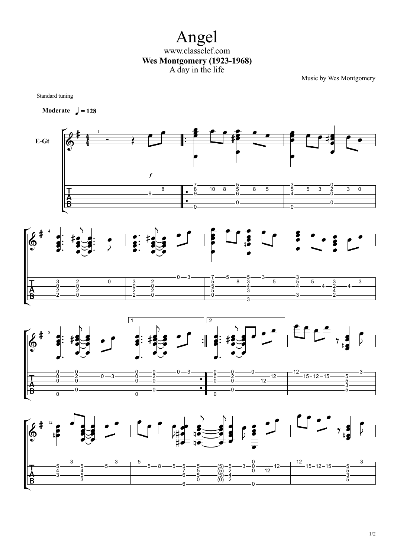Angel www.classclef.com **Wes Montgomery (1923-1968)** A day in the life

Music by Wes Montgomery

Standard tuning

**Moderate**  $=$  **128**